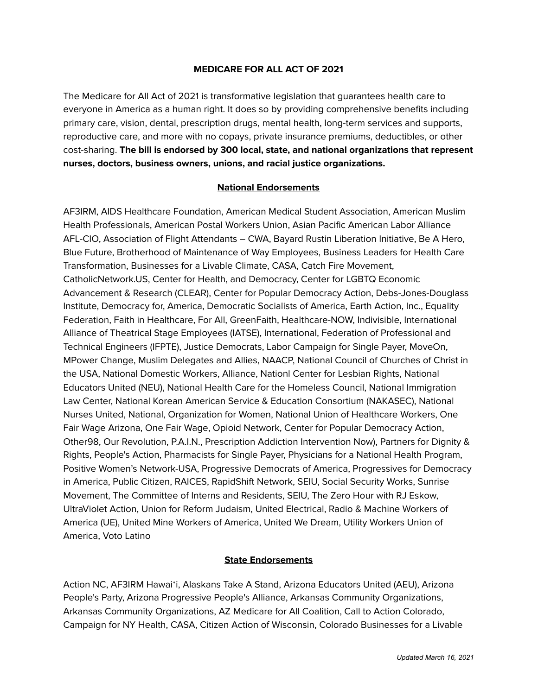## **MEDICARE FOR ALL ACT OF 2021**

The Medicare for All Act of 2021 is transformative legislation that guarantees health care to everyone in America as a human right. It does so by providing comprehensive benefits including primary care, vision, dental, prescription drugs, mental health, long-term services and supports, reproductive care, and more with no copays, private insurance premiums, deductibles, or other cost-sharing. **The bill is endorsed by 300 local, state, and national organizations that represent nurses, doctors, business owners, unions, and racial justice organizations.**

## **National Endorsements**

AF3IRM, AIDS Healthcare Foundation, American Medical Student Association, American Muslim Health Professionals, American Postal Workers Union, Asian Pacific American Labor Alliance AFL-CIO, Association of Flight Attendants – CWA, Bayard Rustin Liberation Initiative, Be A Hero, Blue Future, Brotherhood of Maintenance of Way Employees, Business Leaders for Health Care Transformation, Businesses for a Livable Climate, CASA, Catch Fire Movement, CatholicNetwork.US, Center for Health, and Democracy, Center for LGBTQ Economic Advancement & Research (CLEAR), Center for Popular Democracy Action, Debs-Jones-Douglass Institute, Democracy for, America, Democratic Socialists of America, Earth Action, Inc., Equality Federation, Faith in Healthcare, For All, GreenFaith, Healthcare-NOW, Indivisible, International Alliance of Theatrical Stage Employees (IATSE), International, Federation of Professional and Technical Engineers (IFPTE), Justice Democrats, Labor Campaign for Single Payer, MoveOn, MPower Change, Muslim Delegates and Allies, NAACP, National Council of Churches of Christ in the USA, National Domestic Workers, Alliance, Nationl Center for Lesbian Rights, National Educators United (NEU), National Health Care for the Homeless Council, National Immigration Law Center, National Korean American Service & Education Consortium (NAKASEC), National Nurses United, National, Organization for Women, National Union of Healthcare Workers, One Fair Wage Arizona, One Fair Wage, Opioid Network, Center for Popular Democracy Action, Other98, Our Revolution, P.A.I.N., Prescription Addiction Intervention Now), Partners for Dignity & Rights, People's Action, Pharmacists for Single Payer, Physicians for a National Health Program, Positive Women's Network-USA, Progressive Democrats of America, Progressives for Democracy in America, Public Citizen, RAICES, RapidShift Network, SEIU, Social Security Works, Sunrise Movement, The Committee of Interns and Residents, SEIU, The Zero Hour with RJ Eskow, UltraViolet Action, Union for Reform Judaism, United Electrical, Radio & Machine Workers of America (UE), United Mine Workers of America, United We Dream, Utility Workers Union of America, Voto Latino

## **State Endorsements**

Action NC, AF3IRM Hawaiʻi, Alaskans Take A Stand, Arizona Educators United (AEU), Arizona People's Party, Arizona Progressive People's Alliance, Arkansas Community Organizations, Arkansas Community Organizations, AZ Medicare for All Coalition, Call to Action Colorado, Campaign for NY Health, CASA, Citizen Action of Wisconsin, Colorado Businesses for a Livable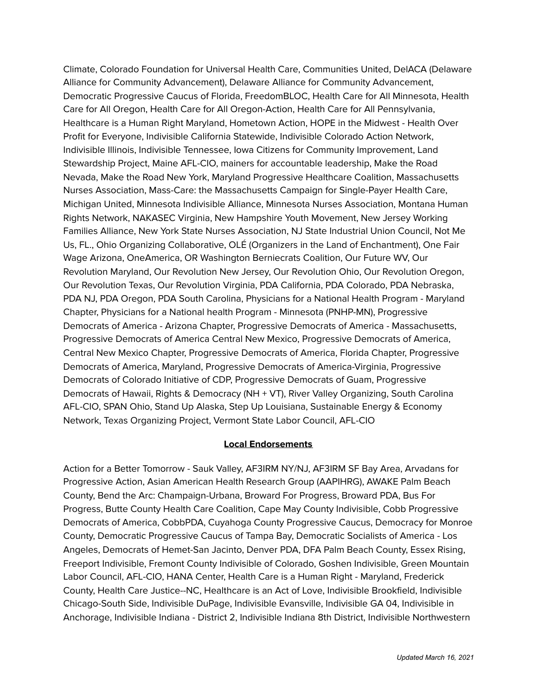Climate, Colorado Foundation for Universal Health Care, Communities United, DelACA (Delaware Alliance for Community Advancement), Delaware Alliance for Community Advancement, Democratic Progressive Caucus of Florida, FreedomBLOC, Health Care for All Minnesota, Health Care for All Oregon, Health Care for All Oregon-Action, Health Care for All Pennsylvania, Healthcare is a Human Right Maryland, Hometown Action, HOPE in the Midwest - Health Over Profit for Everyone, Indivisible California Statewide, Indivisible Colorado Action Network, Indivisible Illinois, Indivisible Tennessee, Iowa Citizens for Community Improvement, Land Stewardship Project, Maine AFL-CIO, mainers for accountable leadership, Make the Road Nevada, Make the Road New York, Maryland Progressive Healthcare Coalition, Massachusetts Nurses Association, Mass-Care: the Massachusetts Campaign for Single-Payer Health Care, Michigan United, Minnesota Indivisible Alliance, Minnesota Nurses Association, Montana Human Rights Network, NAKASEC Virginia, New Hampshire Youth Movement, New Jersey Working Families Alliance, New York State Nurses Association, NJ State Industrial Union Council, Not Me Us, FL., Ohio Organizing Collaborative, OLÉ (Organizers in the Land of Enchantment), One Fair Wage Arizona, OneAmerica, OR Washington Berniecrats Coalition, Our Future WV, Our Revolution Maryland, Our Revolution New Jersey, Our Revolution Ohio, Our Revolution Oregon, Our Revolution Texas, Our Revolution Virginia, PDA California, PDA Colorado, PDA Nebraska, PDA NJ, PDA Oregon, PDA South Carolina, Physicians for a National Health Program - Maryland Chapter, Physicians for a National health Program - Minnesota (PNHP-MN), Progressive Democrats of America - Arizona Chapter, Progressive Democrats of America - Massachusetts, Progressive Democrats of America Central New Mexico, Progressive Democrats of America, Central New Mexico Chapter, Progressive Democrats of America, Florida Chapter, Progressive Democrats of America, Maryland, Progressive Democrats of America-Virginia, Progressive Democrats of Colorado Initiative of CDP, Progressive Democrats of Guam, Progressive Democrats of Hawaii, Rights & Democracy (NH + VT), River Valley Organizing, South Carolina AFL-CIO, SPAN Ohio, Stand Up Alaska, Step Up Louisiana, Sustainable Energy & Economy Network, Texas Organizing Project, Vermont State Labor Council, AFL-CIO

## **Local Endorsements**

Action for a Better Tomorrow - Sauk Valley, AF3IRM NY/NJ, AF3IRM SF Bay Area, Arvadans for Progressive Action, Asian American Health Research Group (AAPIHRG), AWAKE Palm Beach County, Bend the Arc: Champaign-Urbana, Broward For Progress, Broward PDA, Bus For Progress, Butte County Health Care Coalition, Cape May County Indivisible, Cobb Progressive Democrats of America, CobbPDA, Cuyahoga County Progressive Caucus, Democracy for Monroe County, Democratic Progressive Caucus of Tampa Bay, Democratic Socialists of America - Los Angeles, Democrats of Hemet-San Jacinto, Denver PDA, DFA Palm Beach County, Essex Rising, Freeport Indivisible, Fremont County Indivisible of Colorado, Goshen Indivisible, Green Mountain Labor Council, AFL-CIO, HANA Center, Health Care is a Human Right - Maryland, Frederick County, Health Care Justice--NC, Healthcare is an Act of Love, Indivisible Brookfield, Indivisible Chicago-South Side, Indivisible DuPage, Indivisible Evansville, Indivisible GA 04, Indivisible in Anchorage, Indivisible Indiana - District 2, Indivisible Indiana 8th District, Indivisible Northwestern